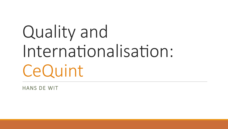# Quality and Internationalisation: CeQuint

**HANS DE WIT**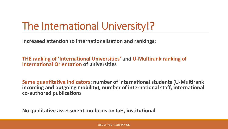## The International University!?

**Increased attention to internationalisation and rankings:** 

**THE ranking of 'International Universities' and U-Multirank ranking of International Orientation of universities** 

**Same quantitative indicators: number of international students (U-Multirank incoming** and outgoing mobility), number of international staff, international **co-authored publica+ons**

No qualitative assessment, no focus on laH, institutional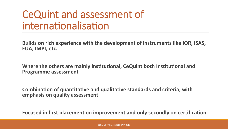### CeQuint and assessment of internationalisation

**Builds on rich experience with the development of instruments like IQR, ISAS, EUA, IMPI, etc.** 

**Where the others are mainly institutional, CeQuint both Institutional and Programme assessment** 

**Combination of quantitative and qualitative standards and criteria, with emphasis on quality assessment** 

**Focused in first placement on improvement and only secondly on certification**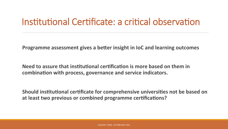#### Institutional Certificate: a critical observation

**Programme assessment gives a better insight in IoC and learning outcomes** 

**Need** to assure that institutional certification is more based on them in **combination with process, governance and service indicators.** 

**Should** institutional certificate for comprehensive universities not be based on **at least two previous or combined programme certifications?**